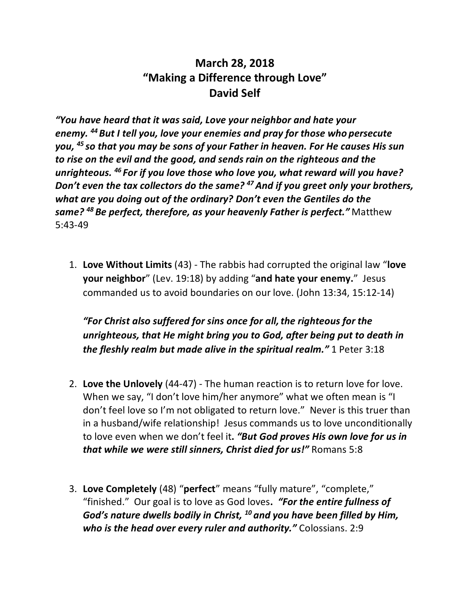## **March 28, 2018 "Making a Difference through Love" David Self**

*"You have heard that it was said, Love your neighbor and hate your enemy. 44But I tell you, love your enemies and pray for those who persecute you, <sup>45</sup> so that you may be sons of your Father in heaven. For He causes His sun to rise on the evil and the good, and sends rain on the righteous and the unrighteous. <sup>46</sup> For if you love those who love you, what reward will you have? Don't even the tax collectors do the same?* <sup>47</sup> And if you greet only your brothers, *what are you doing out of the ordinary? Don't even the Gentiles do the same? <sup>48</sup> Be perfect, therefore, as your heavenly Father is perfect."* Matthew 5:43-49

1. **Love Without Limits** (43) - The rabbis had corrupted the original law "**love your neighbor**" (Lev. 19:18) by adding "**and hate your enemy.**" Jesus commanded us to avoid boundaries on our love. (John 13:34, 15:12-14)

*"For Christ also suffered for sins once for all,the righteous for the unrighteous, that He might bring you to God, after being put to death in the fleshly realm but made alive in the spiritual realm."* 1 Peter 3:18

- 2. **Love the Unlovely** (44-47) The human reaction is to return love for love. When we say, "I don't love him/her anymore" what we often mean is "I don't feel love so I'm not obligated to return love." Never is this truer than in a husband/wife relationship! Jesus commands us to love unconditionally to love even when we don't feel it**.** *"But God proves His own love for us in that while we were still sinners, Christ died for us!"* Romans 5:8
- 3. **Love Completely** (48) "**perfect**" means "fully mature", "complete," "finished." Our goal is to love as God loves**.** *"For the entire fullness of God's nature dwells bodily in Christ, <sup>10</sup> and you have been filled by Him, who is the head over every ruler and authority."* Colossians. 2:9